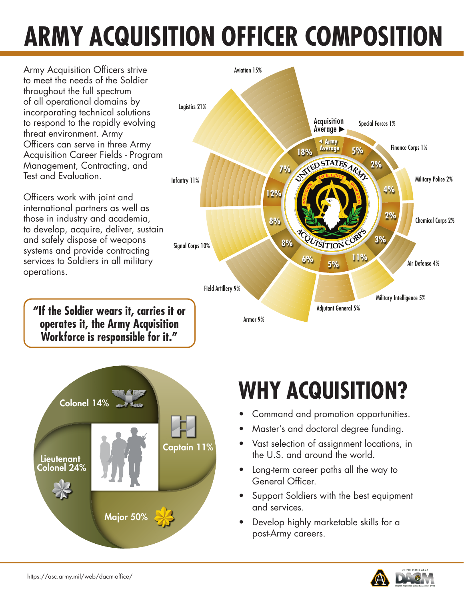# **ARMY ACQUISITION OFFICER COMPOSITION**

Army Acquisition Officers strive to meet the needs of the Soldier throughout the full spectrum of all operational domains by incorporating technical solutions to respond to the rapidly evolving threat environment. Army Officers can serve in three Army Acquisition Career Fields - Program Management, Contracting, and Test and Evaluation.

Officers work with joint and international partners as well as those in industry and academia, to develop, acquire, deliver, sustain and safely dispose of weapons systems and provide contracting services to Soldiers in all military operations.

**"If the Soldier wears it, carries it or operates it, the Army Acquisition Workforce is responsible for it."**





- Command and promotion opportunities.
- Master's and doctoral degree funding.
- Vast selection of assignment locations, in the U.S. and around the world.
- Long-term career paths all the way to General Officer.
- Support Soldiers with the best equipment and services.
- Develop highly marketable skills for a post-Army careers.